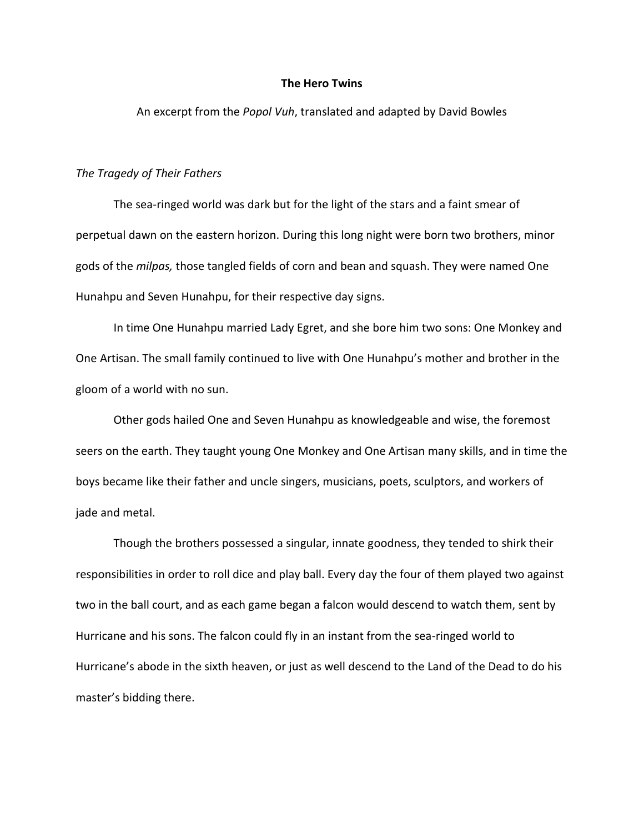### **The Hero Twins**

An excerpt from the *Popol Vuh*, translated and adapted by David Bowles

### *The Tragedy of Their Fathers*

The sea-ringed world was dark but for the light of the stars and a faint smear of perpetual dawn on the eastern horizon. During this long night were born two brothers, minor gods of the *milpas,* those tangled fields of corn and bean and squash. They were named One Hunahpu and Seven Hunahpu, for their respective day signs.

In time One Hunahpu married Lady Egret, and she bore him two sons: One Monkey and One Artisan. The small family continued to live with One Hunahpu's mother and brother in the gloom of a world with no sun.

Other gods hailed One and Seven Hunahpu as knowledgeable and wise, the foremost seers on the earth. They taught young One Monkey and One Artisan many skills, and in time the boys became like their father and uncle singers, musicians, poets, sculptors, and workers of jade and metal.

Though the brothers possessed a singular, innate goodness, they tended to shirk their responsibilities in order to roll dice and play ball. Every day the four of them played two against two in the ball court, and as each game began a falcon would descend to watch them, sent by Hurricane and his sons. The falcon could fly in an instant from the sea-ringed world to Hurricane's abode in the sixth heaven, or just as well descend to the Land of the Dead to do his master's bidding there.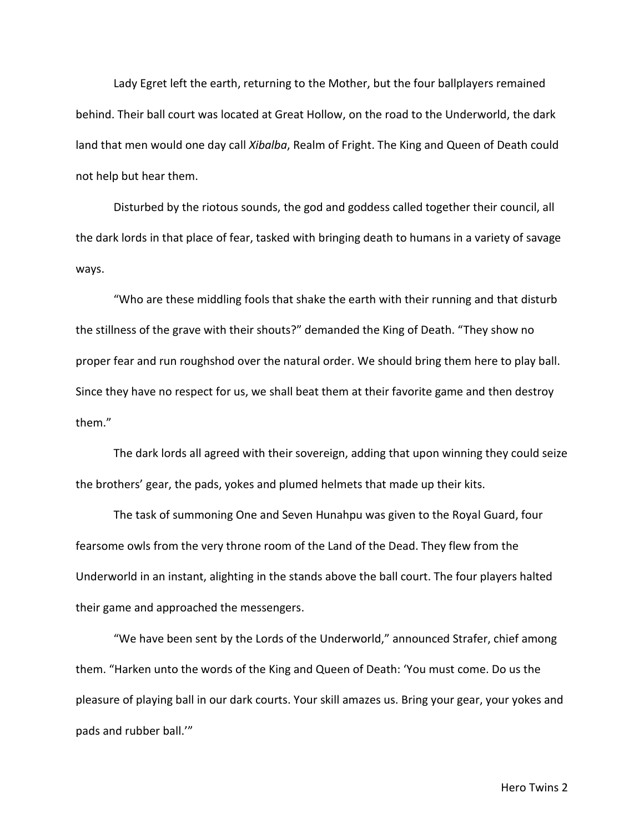Lady Egret left the earth, returning to the Mother, but the four ballplayers remained behind. Their ball court was located at Great Hollow, on the road to the Underworld, the dark land that men would one day call *Xibalba*, Realm of Fright. The King and Queen of Death could not help but hear them.

Disturbed by the riotous sounds, the god and goddess called together their council, all the dark lords in that place of fear, tasked with bringing death to humans in a variety of savage ways.

"Who are these middling fools that shake the earth with their running and that disturb the stillness of the grave with their shouts?" demanded the King of Death. "They show no proper fear and run roughshod over the natural order. We should bring them here to play ball. Since they have no respect for us, we shall beat them at their favorite game and then destroy them."

The dark lords all agreed with their sovereign, adding that upon winning they could seize the brothers' gear, the pads, yokes and plumed helmets that made up their kits.

The task of summoning One and Seven Hunahpu was given to the Royal Guard, four fearsome owls from the very throne room of the Land of the Dead. They flew from the Underworld in an instant, alighting in the stands above the ball court. The four players halted their game and approached the messengers.

"We have been sent by the Lords of the Underworld," announced Strafer, chief among them. "Harken unto the words of the King and Queen of Death: 'You must come. Do us the pleasure of playing ball in our dark courts. Your skill amazes us. Bring your gear, your yokes and pads and rubber ball.'"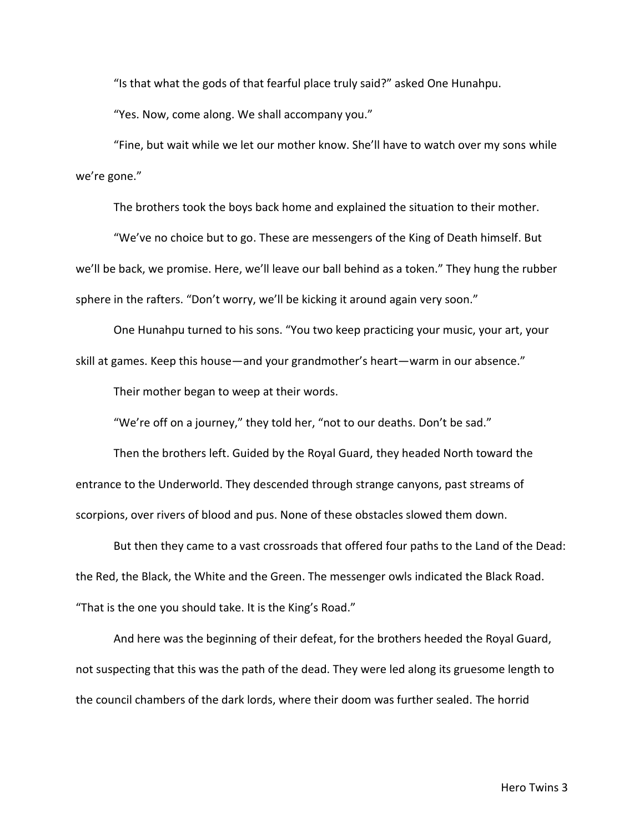"Is that what the gods of that fearful place truly said?" asked One Hunahpu.

"Yes. Now, come along. We shall accompany you."

"Fine, but wait while we let our mother know. She'll have to watch over my sons while we're gone."

The brothers took the boys back home and explained the situation to their mother.

"We've no choice but to go. These are messengers of the King of Death himself. But we'll be back, we promise. Here, we'll leave our ball behind as a token." They hung the rubber sphere in the rafters. "Don't worry, we'll be kicking it around again very soon."

One Hunahpu turned to his sons. "You two keep practicing your music, your art, your skill at games. Keep this house—and your grandmother's heart—warm in our absence."

Their mother began to weep at their words.

"We're off on a journey," they told her, "not to our deaths. Don't be sad."

Then the brothers left. Guided by the Royal Guard, they headed North toward the entrance to the Underworld. They descended through strange canyons, past streams of scorpions, over rivers of blood and pus. None of these obstacles slowed them down.

But then they came to a vast crossroads that offered four paths to the Land of the Dead: the Red, the Black, the White and the Green. The messenger owls indicated the Black Road. "That is the one you should take. It is the King's Road."

And here was the beginning of their defeat, for the brothers heeded the Royal Guard, not suspecting that this was the path of the dead. They were led along its gruesome length to the council chambers of the dark lords, where their doom was further sealed. The horrid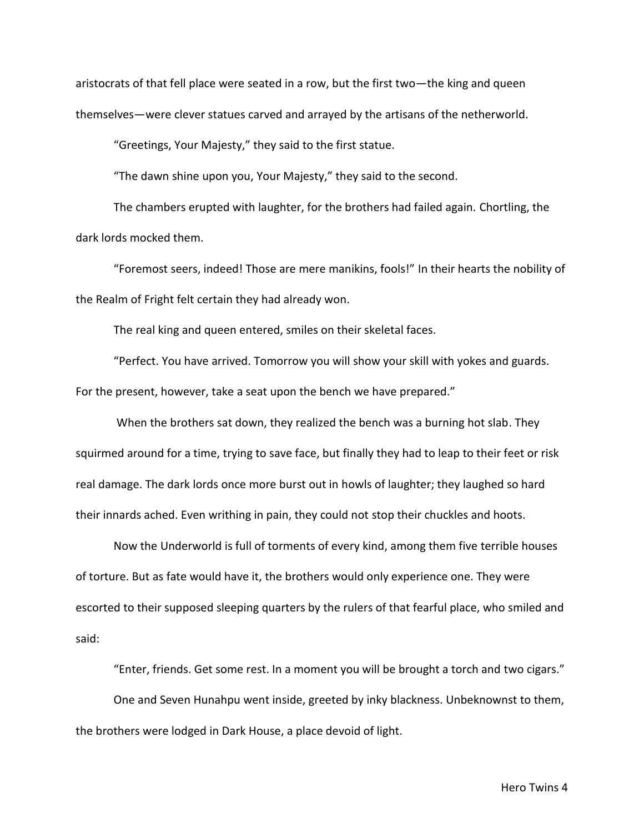aristocrats of that fell place were seated in a row, but the first two—the king and queen themselves—were clever statues carved and arrayed by the artisans of the netherworld.

"Greetings, Your Majesty," they said to the first statue.

"The dawn shine upon you, Your Majesty," they said to the second.

The chambers erupted with laughter, for the brothers had failed again. Chortling, the dark lords mocked them.

"Foremost seers, indeed! Those are mere manikins, fools!" In their hearts the nobility of the Realm of Fright felt certain they had already won.

The real king and queen entered, smiles on their skeletal faces.

"Perfect. You have arrived. Tomorrow you will show your skill with yokes and guards. For the present, however, take a seat upon the bench we have prepared."

When the brothers sat down, they realized the bench was a burning hot slab. They squirmed around for a time, trying to save face, but finally they had to leap to their feet or risk real damage. The dark lords once more burst out in howls of laughter; they laughed so hard their innards ached. Even writhing in pain, they could not stop their chuckles and hoots.

Now the Underworld is full of torments of every kind, among them five terrible houses of torture. But as fate would have it, the brothers would only experience one. They were escorted to their supposed sleeping quarters by the rulers of that fearful place, who smiled and said:

"Enter, friends. Get some rest. In a moment you will be brought a torch and two cigars."

One and Seven Hunahpu went inside, greeted by inky blackness. Unbeknownst to them, the brothers were lodged in Dark House, a place devoid of light.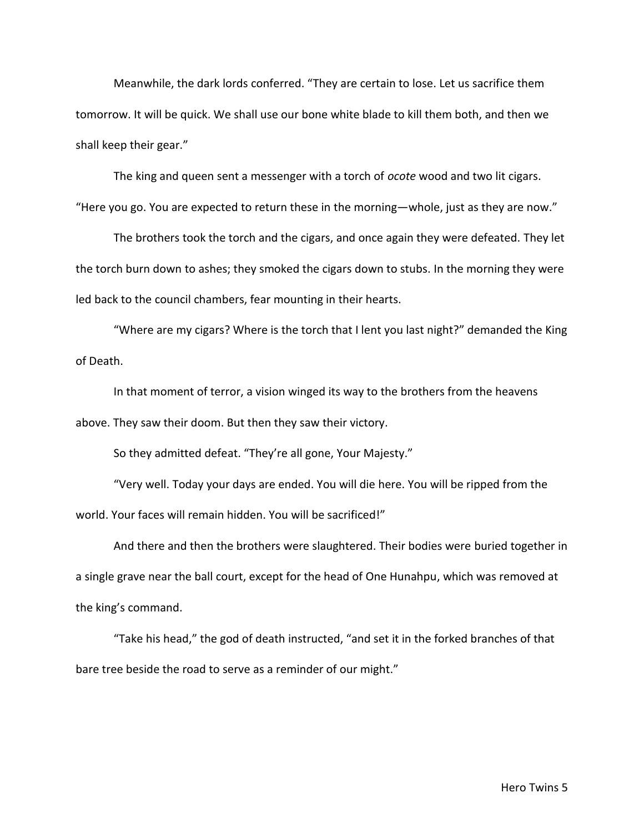Meanwhile, the dark lords conferred. "They are certain to lose. Let us sacrifice them tomorrow. It will be quick. We shall use our bone white blade to kill them both, and then we shall keep their gear."

The king and queen sent a messenger with a torch of *ocote* wood and two lit cigars. "Here you go. You are expected to return these in the morning—whole, just as they are now."

The brothers took the torch and the cigars, and once again they were defeated. They let the torch burn down to ashes; they smoked the cigars down to stubs. In the morning they were led back to the council chambers, fear mounting in their hearts.

"Where are my cigars? Where is the torch that I lent you last night?" demanded the King of Death.

In that moment of terror, a vision winged its way to the brothers from the heavens above. They saw their doom. But then they saw their victory.

So they admitted defeat. "They're all gone, Your Majesty."

"Very well. Today your days are ended. You will die here. You will be ripped from the world. Your faces will remain hidden. You will be sacrificed!"

And there and then the brothers were slaughtered. Their bodies were buried together in a single grave near the ball court, except for the head of One Hunahpu, which was removed at the king's command.

"Take his head," the god of death instructed, "and set it in the forked branches of that bare tree beside the road to serve as a reminder of our might."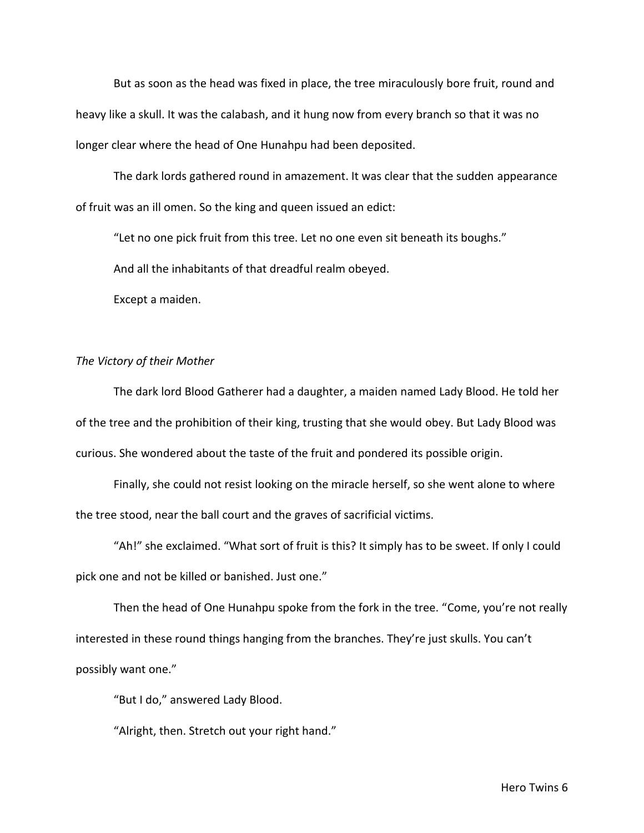But as soon as the head was fixed in place, the tree miraculously bore fruit, round and heavy like a skull. It was the calabash, and it hung now from every branch so that it was no longer clear where the head of One Hunahpu had been deposited.

The dark lords gathered round in amazement. It was clear that the sudden appearance of fruit was an ill omen. So the king and queen issued an edict:

"Let no one pick fruit from this tree. Let no one even sit beneath its boughs."

And all the inhabitants of that dreadful realm obeyed.

Except a maiden.

# *The Victory of their Mother*

The dark lord Blood Gatherer had a daughter, a maiden named Lady Blood. He told her of the tree and the prohibition of their king, trusting that she would obey. But Lady Blood was curious. She wondered about the taste of the fruit and pondered its possible origin.

Finally, she could not resist looking on the miracle herself, so she went alone to where the tree stood, near the ball court and the graves of sacrificial victims.

"Ah!" she exclaimed. "What sort of fruit is this? It simply has to be sweet. If only I could pick one and not be killed or banished. Just one."

Then the head of One Hunahpu spoke from the fork in the tree. "Come, you're not really interested in these round things hanging from the branches. They're just skulls. You can't possibly want one."

"But I do," answered Lady Blood.

"Alright, then. Stretch out your right hand."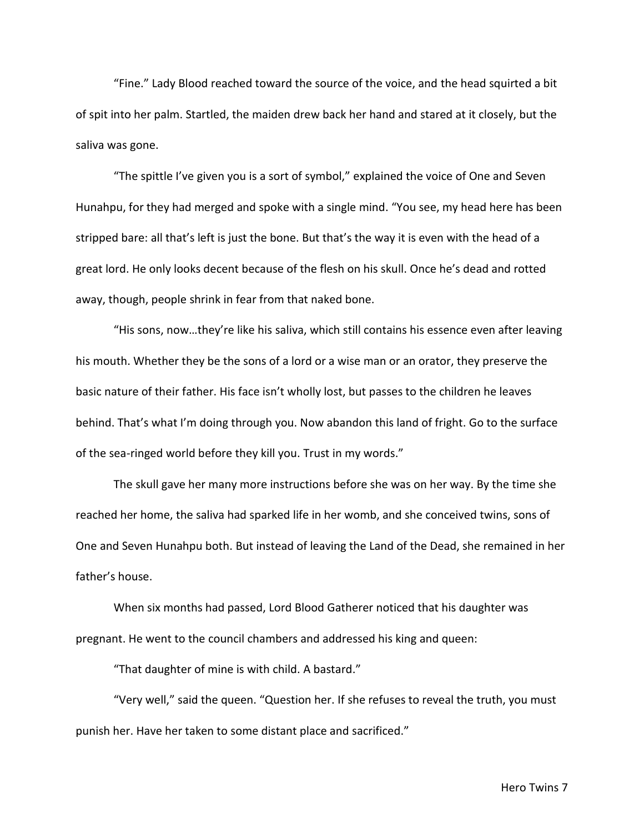"Fine." Lady Blood reached toward the source of the voice, and the head squirted a bit of spit into her palm. Startled, the maiden drew back her hand and stared at it closely, but the saliva was gone.

"The spittle I've given you is a sort of symbol," explained the voice of One and Seven Hunahpu, for they had merged and spoke with a single mind. "You see, my head here has been stripped bare: all that's left is just the bone. But that's the way it is even with the head of a great lord. He only looks decent because of the flesh on his skull. Once he's dead and rotted away, though, people shrink in fear from that naked bone.

"His sons, now…they're like his saliva, which still contains his essence even after leaving his mouth. Whether they be the sons of a lord or a wise man or an orator, they preserve the basic nature of their father. His face isn't wholly lost, but passes to the children he leaves behind. That's what I'm doing through you. Now abandon this land of fright. Go to the surface of the sea-ringed world before they kill you. Trust in my words."

The skull gave her many more instructions before she was on her way. By the time she reached her home, the saliva had sparked life in her womb, and she conceived twins, sons of One and Seven Hunahpu both. But instead of leaving the Land of the Dead, she remained in her father's house.

When six months had passed, Lord Blood Gatherer noticed that his daughter was pregnant. He went to the council chambers and addressed his king and queen:

"That daughter of mine is with child. A bastard."

"Very well," said the queen. "Question her. If she refuses to reveal the truth, you must punish her. Have her taken to some distant place and sacrificed."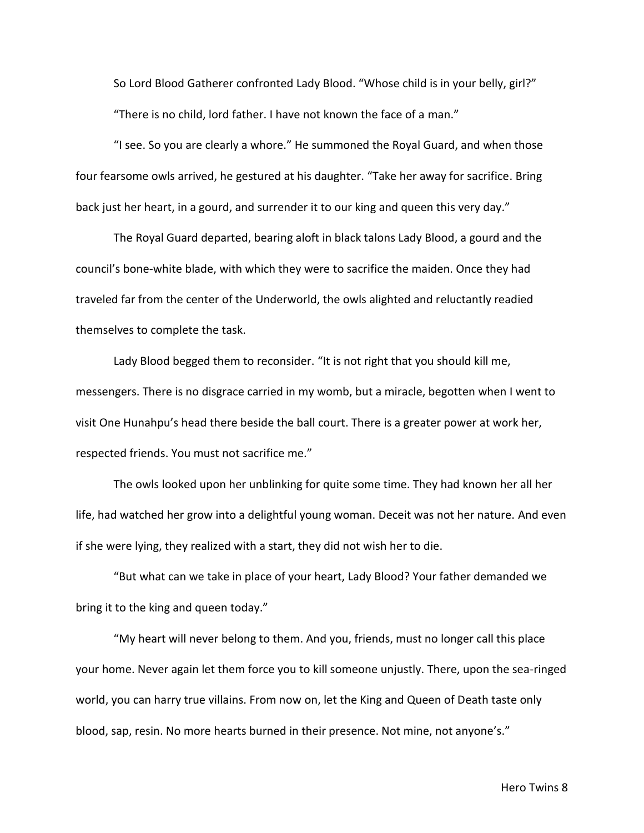So Lord Blood Gatherer confronted Lady Blood. "Whose child is in your belly, girl?" "There is no child, lord father. I have not known the face of a man."

"I see. So you are clearly a whore." He summoned the Royal Guard, and when those four fearsome owls arrived, he gestured at his daughter. "Take her away for sacrifice. Bring back just her heart, in a gourd, and surrender it to our king and queen this very day."

The Royal Guard departed, bearing aloft in black talons Lady Blood, a gourd and the council's bone-white blade, with which they were to sacrifice the maiden. Once they had traveled far from the center of the Underworld, the owls alighted and reluctantly readied themselves to complete the task.

Lady Blood begged them to reconsider. "It is not right that you should kill me, messengers. There is no disgrace carried in my womb, but a miracle, begotten when I went to visit One Hunahpu's head there beside the ball court. There is a greater power at work her, respected friends. You must not sacrifice me."

The owls looked upon her unblinking for quite some time. They had known her all her life, had watched her grow into a delightful young woman. Deceit was not her nature. And even if she were lying, they realized with a start, they did not wish her to die.

"But what can we take in place of your heart, Lady Blood? Your father demanded we bring it to the king and queen today."

"My heart will never belong to them. And you, friends, must no longer call this place your home. Never again let them force you to kill someone unjustly. There, upon the sea-ringed world, you can harry true villains. From now on, let the King and Queen of Death taste only blood, sap, resin. No more hearts burned in their presence. Not mine, not anyone's."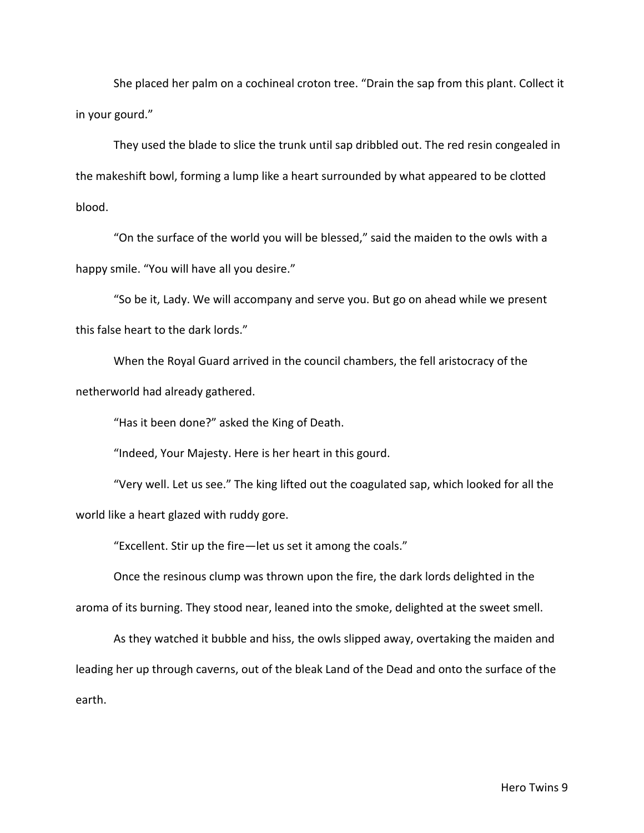She placed her palm on a cochineal croton tree. "Drain the sap from this plant. Collect it in your gourd."

They used the blade to slice the trunk until sap dribbled out. The red resin congealed in the makeshift bowl, forming a lump like a heart surrounded by what appeared to be clotted blood.

"On the surface of the world you will be blessed," said the maiden to the owls with a happy smile. "You will have all you desire."

"So be it, Lady. We will accompany and serve you. But go on ahead while we present this false heart to the dark lords."

When the Royal Guard arrived in the council chambers, the fell aristocracy of the netherworld had already gathered.

"Has it been done?" asked the King of Death.

"Indeed, Your Majesty. Here is her heart in this gourd.

"Very well. Let us see." The king lifted out the coagulated sap, which looked for all the world like a heart glazed with ruddy gore.

"Excellent. Stir up the fire—let us set it among the coals."

Once the resinous clump was thrown upon the fire, the dark lords delighted in the aroma of its burning. They stood near, leaned into the smoke, delighted at the sweet smell.

As they watched it bubble and hiss, the owls slipped away, overtaking the maiden and leading her up through caverns, out of the bleak Land of the Dead and onto the surface of the earth.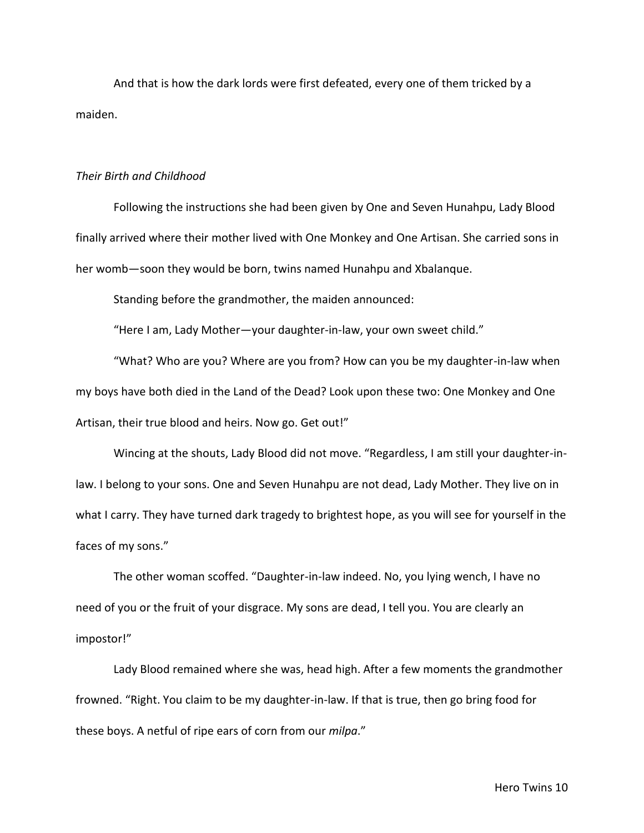And that is how the dark lords were first defeated, every one of them tricked by a maiden.

## *Their Birth and Childhood*

Following the instructions she had been given by One and Seven Hunahpu, Lady Blood finally arrived where their mother lived with One Monkey and One Artisan. She carried sons in her womb—soon they would be born, twins named Hunahpu and Xbalanque.

Standing before the grandmother, the maiden announced:

"Here I am, Lady Mother—your daughter-in-law, your own sweet child."

"What? Who are you? Where are you from? How can you be my daughter-in-law when my boys have both died in the Land of the Dead? Look upon these two: One Monkey and One Artisan, their true blood and heirs. Now go. Get out!"

Wincing at the shouts, Lady Blood did not move. "Regardless, I am still your daughter-inlaw. I belong to your sons. One and Seven Hunahpu are not dead, Lady Mother. They live on in what I carry. They have turned dark tragedy to brightest hope, as you will see for yourself in the faces of my sons."

The other woman scoffed. "Daughter-in-law indeed. No, you lying wench, I have no need of you or the fruit of your disgrace. My sons are dead, I tell you. You are clearly an impostor!"

Lady Blood remained where she was, head high. After a few moments the grandmother frowned. "Right. You claim to be my daughter-in-law. If that is true, then go bring food for these boys. A netful of ripe ears of corn from our *milpa*."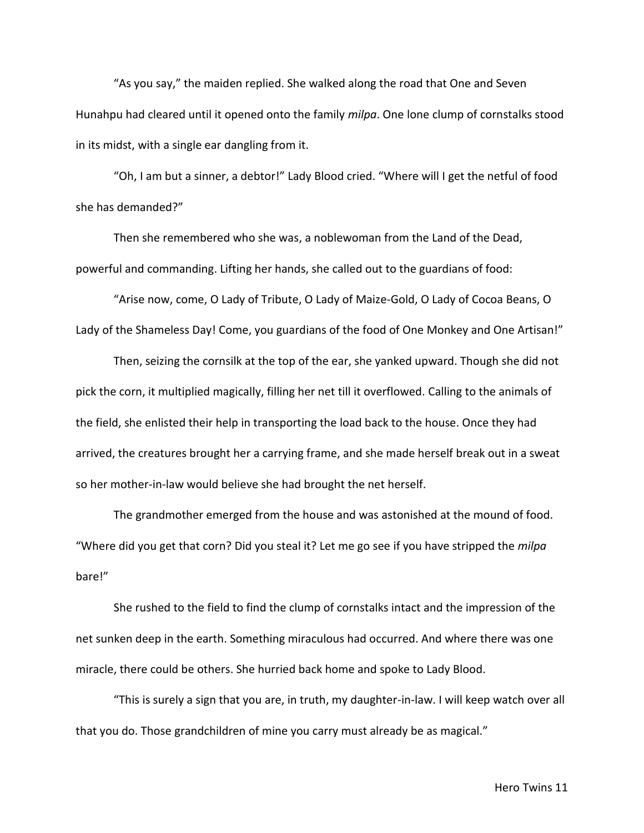"As you say," the maiden replied. She walked along the road that One and Seven Hunahpu had cleared until it opened onto the family *milpa*. One lone clump of cornstalks stood in its midst, with a single ear dangling from it.

"Oh, I am but a sinner, a debtor!" Lady Blood cried. "Where will I get the netful of food she has demanded?"

Then she remembered who she was, a noblewoman from the Land of the Dead, powerful and commanding. Lifting her hands, she called out to the guardians of food:

"Arise now, come, O Lady of Tribute, O Lady of Maize-Gold, O Lady of Cocoa Beans, O Lady of the Shameless Day! Come, you guardians of the food of One Monkey and One Artisan!"

Then, seizing the cornsilk at the top of the ear, she yanked upward. Though she did not pick the corn, it multiplied magically, filling her net till it overflowed. Calling to the animals of the field, she enlisted their help in transporting the load back to the house. Once they had arrived, the creatures brought her a carrying frame, and she made herself break out in a sweat so her mother-in-law would believe she had brought the net herself.

The grandmother emerged from the house and was astonished at the mound of food. "Where did you get that corn? Did you steal it? Let me go see if you have stripped the *milpa*  bare!"

She rushed to the field to find the clump of cornstalks intact and the impression of the net sunken deep in the earth. Something miraculous had occurred. And where there was one miracle, there could be others. She hurried back home and spoke to Lady Blood.

"This is surely a sign that you are, in truth, my daughter-in-law. I will keep watch over all that you do. Those grandchildren of mine you carry must already be as magical."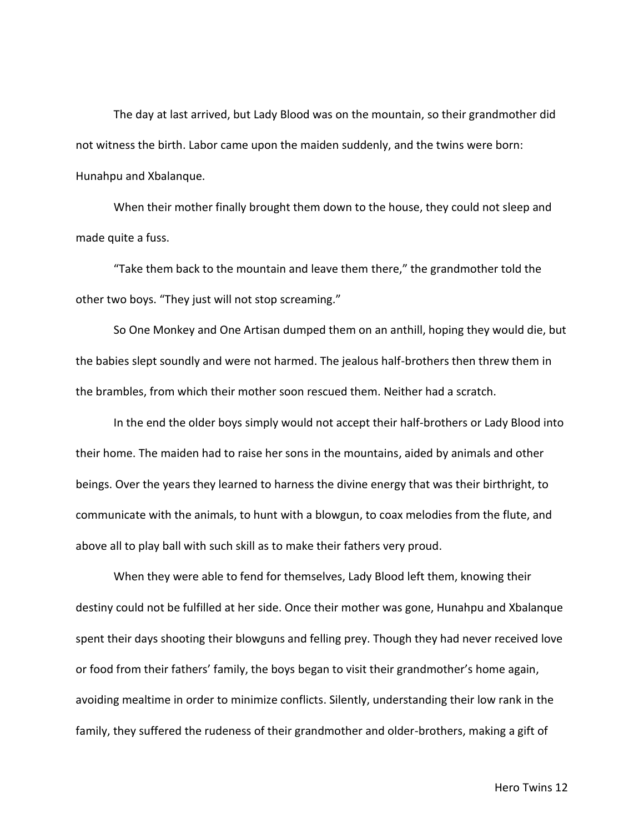The day at last arrived, but Lady Blood was on the mountain, so their grandmother did not witness the birth. Labor came upon the maiden suddenly, and the twins were born: Hunahpu and Xbalanque.

When their mother finally brought them down to the house, they could not sleep and made quite a fuss.

"Take them back to the mountain and leave them there," the grandmother told the other two boys. "They just will not stop screaming."

So One Monkey and One Artisan dumped them on an anthill, hoping they would die, but the babies slept soundly and were not harmed. The jealous half-brothers then threw them in the brambles, from which their mother soon rescued them. Neither had a scratch.

In the end the older boys simply would not accept their half-brothers or Lady Blood into their home. The maiden had to raise her sons in the mountains, aided by animals and other beings. Over the years they learned to harness the divine energy that was their birthright, to communicate with the animals, to hunt with a blowgun, to coax melodies from the flute, and above all to play ball with such skill as to make their fathers very proud.

When they were able to fend for themselves, Lady Blood left them, knowing their destiny could not be fulfilled at her side. Once their mother was gone, Hunahpu and Xbalanque spent their days shooting their blowguns and felling prey. Though they had never received love or food from their fathers' family, the boys began to visit their grandmother's home again, avoiding mealtime in order to minimize conflicts. Silently, understanding their low rank in the family, they suffered the rudeness of their grandmother and older-brothers, making a gift of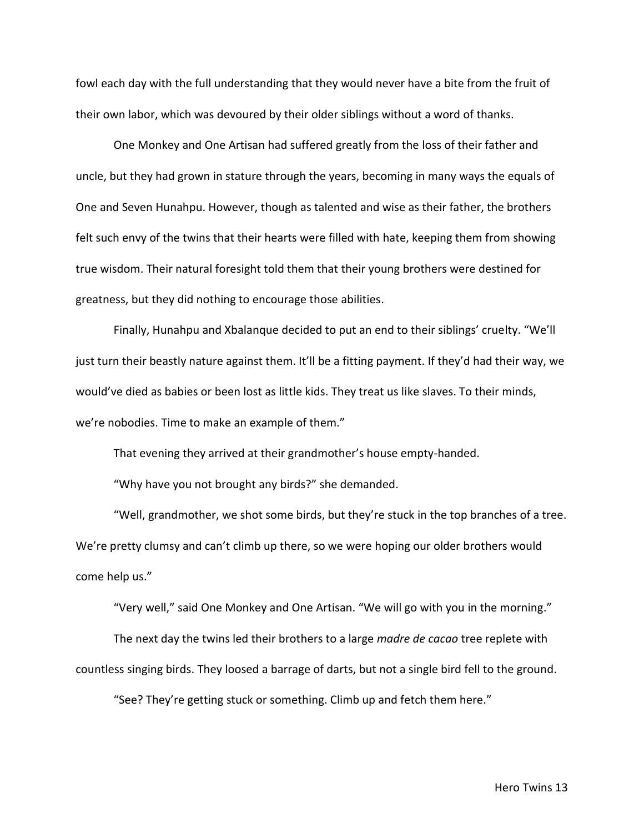fowl each day with the full understanding that they would never have a bite from the fruit of their own labor, which was devoured by their older siblings without a word of thanks.

One Monkey and One Artisan had suffered greatly from the loss of their father and uncle, but they had grown in stature through the years, becoming in many ways the equals of One and Seven Hunahpu. However, though as talented and wise as their father, the brothers felt such envy of the twins that their hearts were filled with hate, keeping them from showing true wisdom. Their natural foresight told them that their young brothers were destined for greatness, but they did nothing to encourage those abilities.

Finally, Hunahpu and Xbalanque decided to put an end to their siblings' cruelty. "We'll just turn their beastly nature against them. It'll be a fitting payment. If they'd had their way, we would've died as babies or been lost as little kids. They treat us like slaves. To their minds, we're nobodies. Time to make an example of them."

That evening they arrived at their grandmother's house empty-handed.

"Why have you not brought any birds?" she demanded.

"Well, grandmother, we shot some birds, but they're stuck in the top branches of a tree. We're pretty clumsy and can't climb up there, so we were hoping our older brothers would come help us."

"Very well," said One Monkey and One Artisan. "We will go with you in the morning."

The next day the twins led their brothers to a large *madre de cacao* tree replete with countless singing birds. They loosed a barrage of darts, but not a single bird fell to the ground.

"See? They're getting stuck or something. Climb up and fetch them here."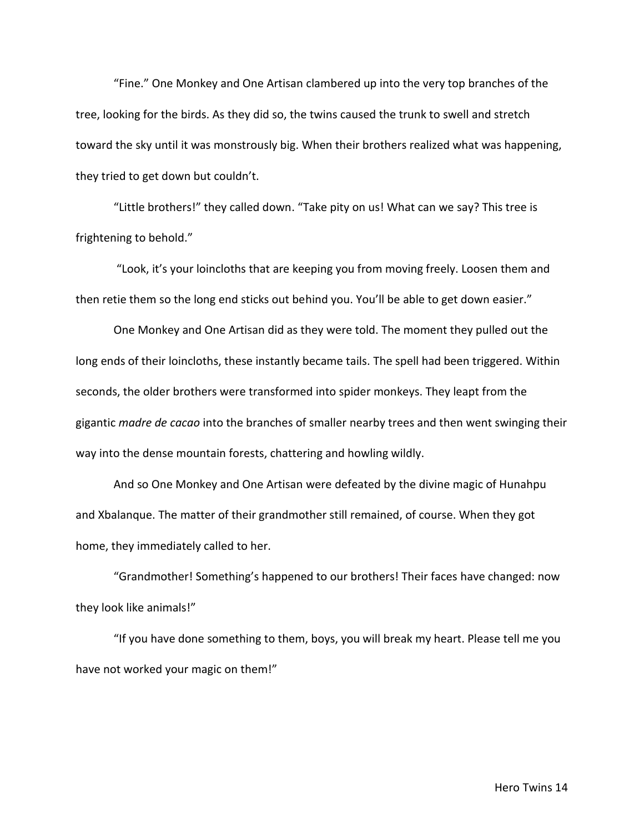"Fine." One Monkey and One Artisan clambered up into the very top branches of the tree, looking for the birds. As they did so, the twins caused the trunk to swell and stretch toward the sky until it was monstrously big. When their brothers realized what was happening, they tried to get down but couldn't.

"Little brothers!" they called down. "Take pity on us! What can we say? This tree is frightening to behold."

"Look, it's your loincloths that are keeping you from moving freely. Loosen them and then retie them so the long end sticks out behind you. You'll be able to get down easier."

One Monkey and One Artisan did as they were told. The moment they pulled out the long ends of their loincloths, these instantly became tails. The spell had been triggered. Within seconds, the older brothers were transformed into spider monkeys. They leapt from the gigantic *madre de cacao* into the branches of smaller nearby trees and then went swinging their way into the dense mountain forests, chattering and howling wildly.

And so One Monkey and One Artisan were defeated by the divine magic of Hunahpu and Xbalanque. The matter of their grandmother still remained, of course. When they got home, they immediately called to her.

"Grandmother! Something's happened to our brothers! Their faces have changed: now they look like animals!"

"If you have done something to them, boys, you will break my heart. Please tell me you have not worked your magic on them!"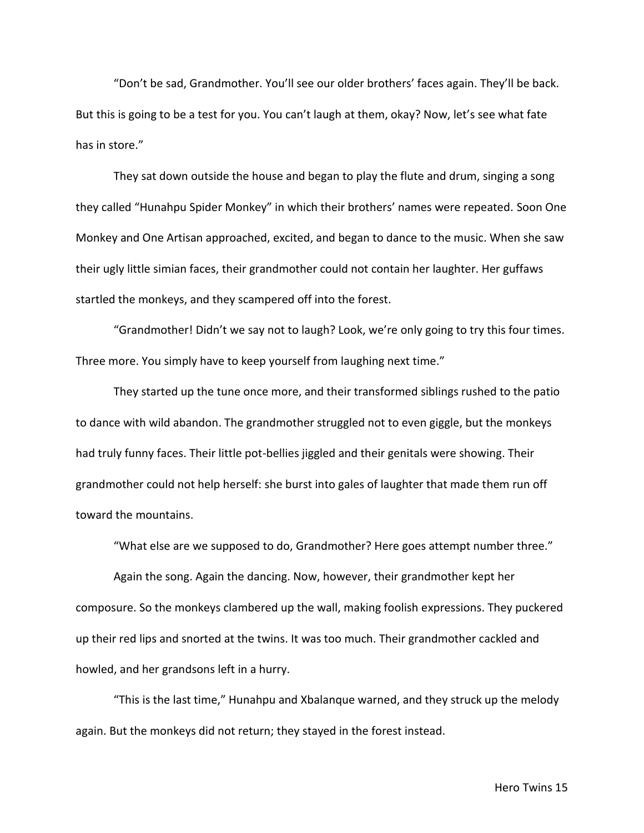"Don't be sad, Grandmother. You'll see our older brothers' faces again. They'll be back. But this is going to be a test for you. You can't laugh at them, okay? Now, let's see what fate has in store."

They sat down outside the house and began to play the flute and drum, singing a song they called "Hunahpu Spider Monkey" in which their brothers' names were repeated. Soon One Monkey and One Artisan approached, excited, and began to dance to the music. When she saw their ugly little simian faces, their grandmother could not contain her laughter. Her guffaws startled the monkeys, and they scampered off into the forest.

"Grandmother! Didn't we say not to laugh? Look, we're only going to try this four times. Three more. You simply have to keep yourself from laughing next time."

They started up the tune once more, and their transformed siblings rushed to the patio to dance with wild abandon. The grandmother struggled not to even giggle, but the monkeys had truly funny faces. Their little pot-bellies jiggled and their genitals were showing. Their grandmother could not help herself: she burst into gales of laughter that made them run off toward the mountains.

"What else are we supposed to do, Grandmother? Here goes attempt number three."

Again the song. Again the dancing. Now, however, their grandmother kept her composure. So the monkeys clambered up the wall, making foolish expressions. They puckered up their red lips and snorted at the twins. It was too much. Their grandmother cackled and howled, and her grandsons left in a hurry.

"This is the last time," Hunahpu and Xbalanque warned, and they struck up the melody again. But the monkeys did not return; they stayed in the forest instead.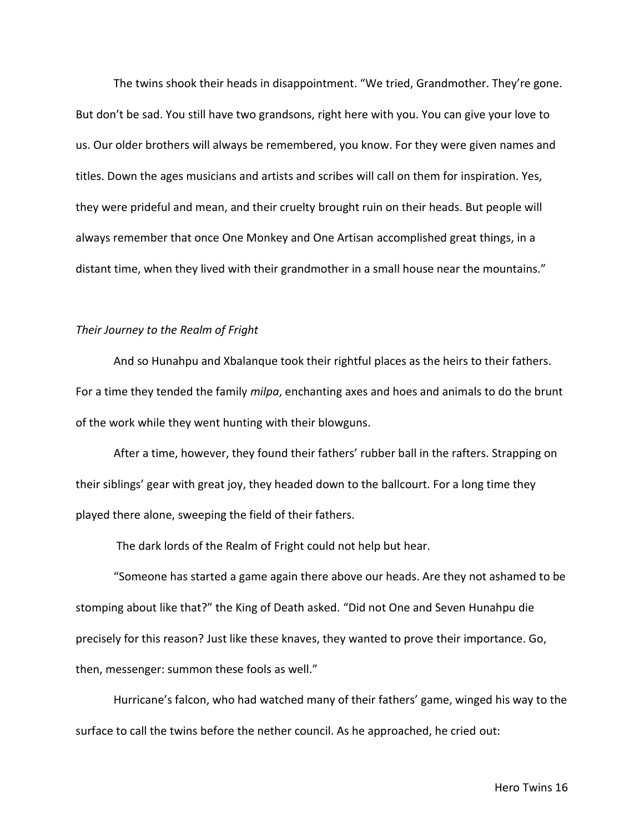The twins shook their heads in disappointment. "We tried, Grandmother. They're gone. But don't be sad. You still have two grandsons, right here with you. You can give your love to us. Our older brothers will always be remembered, you know. For they were given names and titles. Down the ages musicians and artists and scribes will call on them for inspiration. Yes, they were prideful and mean, and their cruelty brought ruin on their heads. But people will always remember that once One Monkey and One Artisan accomplished great things, in a distant time, when they lived with their grandmother in a small house near the mountains."

### *Their Journey to the Realm of Fright*

And so Hunahpu and Xbalanque took their rightful places as the heirs to their fathers. For a time they tended the family *milpa*, enchanting axes and hoes and animals to do the brunt of the work while they went hunting with their blowguns.

After a time, however, they found their fathers' rubber ball in the rafters. Strapping on their siblings' gear with great joy, they headed down to the ballcourt. For a long time they played there alone, sweeping the field of their fathers.

The dark lords of the Realm of Fright could not help but hear.

"Someone has started a game again there above our heads. Are they not ashamed to be stomping about like that?" the King of Death asked. "Did not One and Seven Hunahpu die precisely for this reason? Just like these knaves, they wanted to prove their importance. Go, then, messenger: summon these fools as well."

Hurricane's falcon, who had watched many of their fathers' game, winged his way to the surface to call the twins before the nether council. As he approached, he cried out: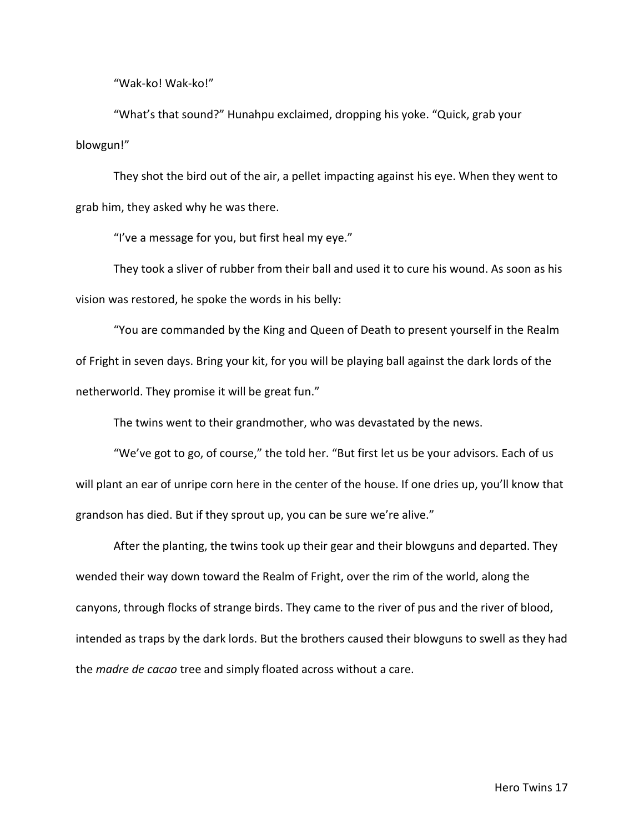"Wak-ko! Wak-ko!"

"What's that sound?" Hunahpu exclaimed, dropping his yoke. "Quick, grab your blowgun!"

They shot the bird out of the air, a pellet impacting against his eye. When they went to grab him, they asked why he was there.

"I've a message for you, but first heal my eye."

They took a sliver of rubber from their ball and used it to cure his wound. As soon as his vision was restored, he spoke the words in his belly:

"You are commanded by the King and Queen of Death to present yourself in the Realm of Fright in seven days. Bring your kit, for you will be playing ball against the dark lords of the netherworld. They promise it will be great fun."

The twins went to their grandmother, who was devastated by the news.

"We've got to go, of course," the told her. "But first let us be your advisors. Each of us will plant an ear of unripe corn here in the center of the house. If one dries up, you'll know that grandson has died. But if they sprout up, you can be sure we're alive."

After the planting, the twins took up their gear and their blowguns and departed. They wended their way down toward the Realm of Fright, over the rim of the world, along the canyons, through flocks of strange birds. They came to the river of pus and the river of blood, intended as traps by the dark lords. But the brothers caused their blowguns to swell as they had the *madre de cacao* tree and simply floated across without a care.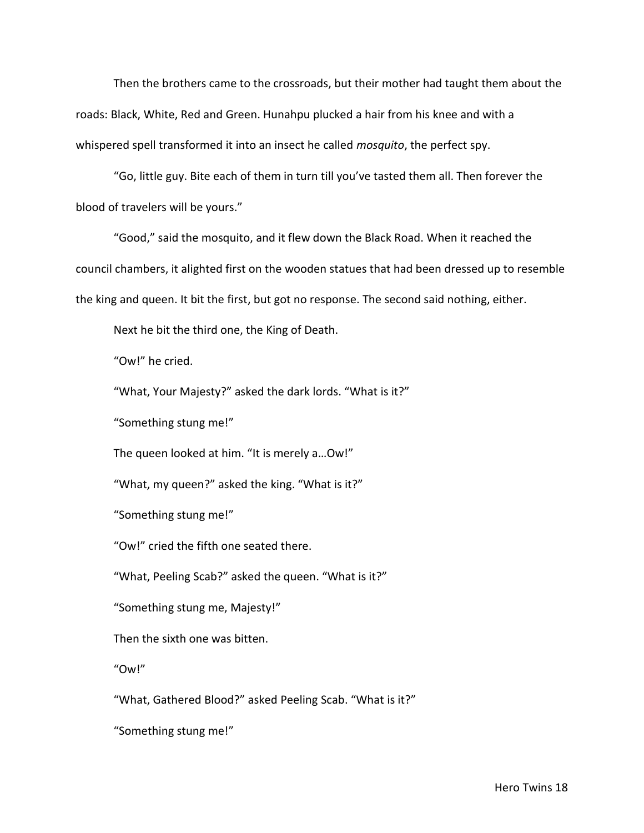Then the brothers came to the crossroads, but their mother had taught them about the roads: Black, White, Red and Green. Hunahpu plucked a hair from his knee and with a whispered spell transformed it into an insect he called *mosquito*, the perfect spy.

"Go, little guy. Bite each of them in turn till you've tasted them all. Then forever the blood of travelers will be yours."

"Good," said the mosquito, and it flew down the Black Road. When it reached the council chambers, it alighted first on the wooden statues that had been dressed up to resemble the king and queen. It bit the first, but got no response. The second said nothing, either.

Next he bit the third one, the King of Death.

"Ow!" he cried.

"What, Your Majesty?" asked the dark lords. "What is it?"

"Something stung me!"

The queen looked at him. "It is merely a…Ow!"

"What, my queen?" asked the king. "What is it?"

"Something stung me!"

"Ow!" cried the fifth one seated there.

"What, Peeling Scab?" asked the queen. "What is it?"

"Something stung me, Majesty!"

Then the sixth one was bitten.

"Ow!"

"What, Gathered Blood?" asked Peeling Scab. "What is it?"

"Something stung me!"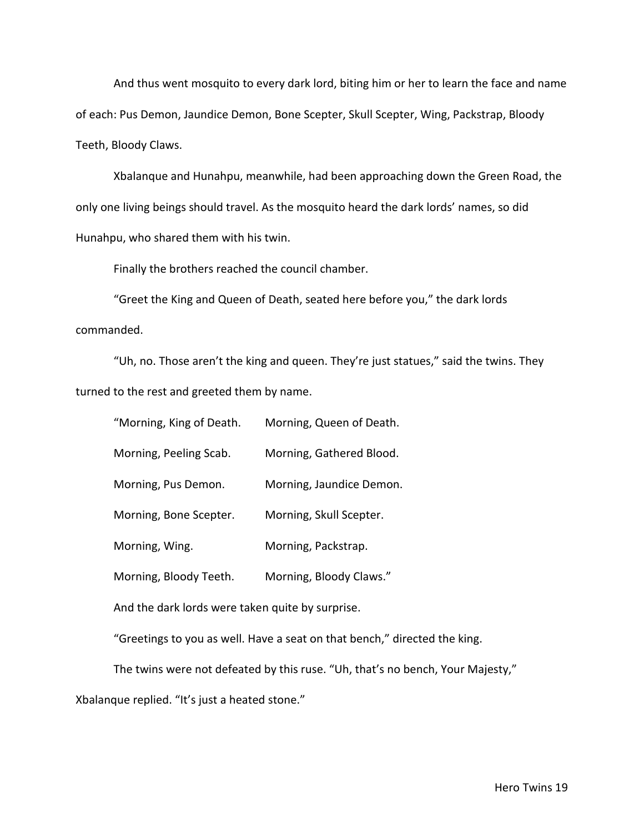And thus went mosquito to every dark lord, biting him or her to learn the face and name of each: Pus Demon, Jaundice Demon, Bone Scepter, Skull Scepter, Wing, Packstrap, Bloody Teeth, Bloody Claws.

Xbalanque and Hunahpu, meanwhile, had been approaching down the Green Road, the only one living beings should travel. As the mosquito heard the dark lords' names, so did Hunahpu, who shared them with his twin.

Finally the brothers reached the council chamber.

"Greet the King and Queen of Death, seated here before you," the dark lords commanded.

"Uh, no. Those aren't the king and queen. They're just statues," said the twins. They turned to the rest and greeted them by name.

"Morning, King of Death. Morning, Queen of Death.

Morning, Peeling Scab. Morning, Gathered Blood.

Morning, Pus Demon. Morning, Jaundice Demon.

Morning, Bone Scepter. Morning, Skull Scepter.

Morning, Wing. Morning, Packstrap.

Morning, Bloody Teeth. Morning, Bloody Claws."

And the dark lords were taken quite by surprise.

"Greetings to you as well. Have a seat on that bench," directed the king.

The twins were not defeated by this ruse. "Uh, that's no bench, Your Majesty,"

Xbalanque replied. "It's just a heated stone."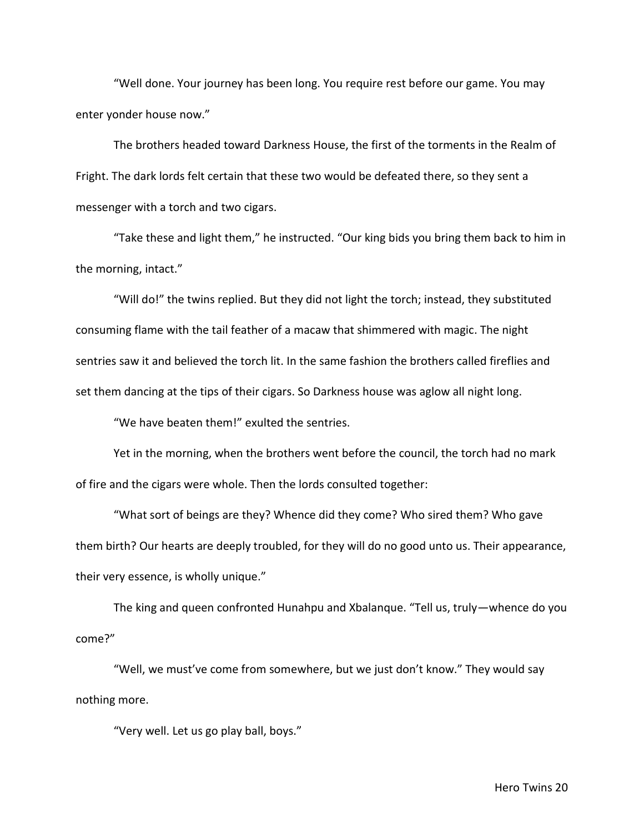"Well done. Your journey has been long. You require rest before our game. You may enter yonder house now."

The brothers headed toward Darkness House, the first of the torments in the Realm of Fright. The dark lords felt certain that these two would be defeated there, so they sent a messenger with a torch and two cigars.

"Take these and light them," he instructed. "Our king bids you bring them back to him in the morning, intact."

"Will do!" the twins replied. But they did not light the torch; instead, they substituted consuming flame with the tail feather of a macaw that shimmered with magic. The night sentries saw it and believed the torch lit. In the same fashion the brothers called fireflies and set them dancing at the tips of their cigars. So Darkness house was aglow all night long.

"We have beaten them!" exulted the sentries.

Yet in the morning, when the brothers went before the council, the torch had no mark of fire and the cigars were whole. Then the lords consulted together:

"What sort of beings are they? Whence did they come? Who sired them? Who gave them birth? Our hearts are deeply troubled, for they will do no good unto us. Their appearance, their very essence, is wholly unique."

The king and queen confronted Hunahpu and Xbalanque. "Tell us, truly—whence do you come?"

"Well, we must've come from somewhere, but we just don't know." They would say nothing more.

"Very well. Let us go play ball, boys."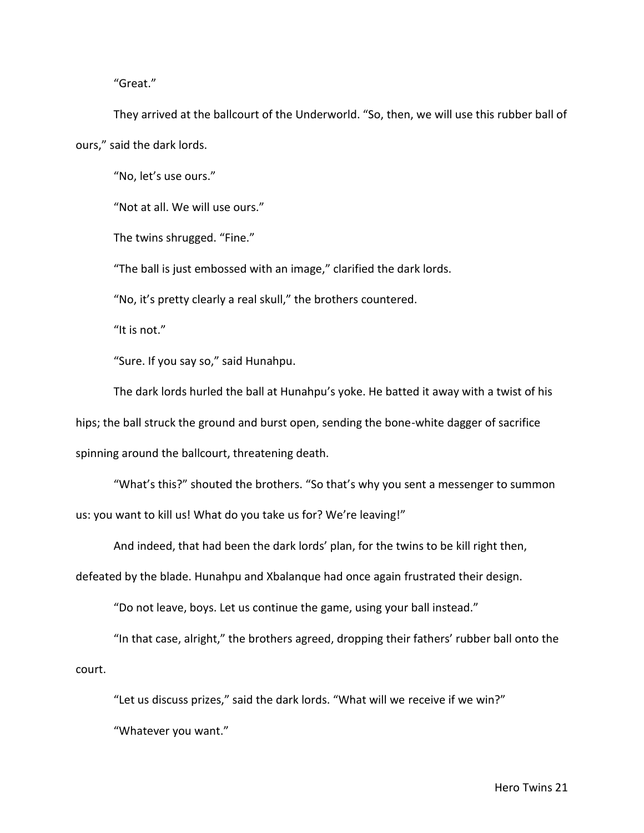"Great."

They arrived at the ballcourt of the Underworld. "So, then, we will use this rubber ball of ours," said the dark lords.

"No, let's use ours."

"Not at all. We will use ours."

The twins shrugged. "Fine."

"The ball is just embossed with an image," clarified the dark lords.

"No, it's pretty clearly a real skull," the brothers countered.

"It is not."

"Sure. If you say so," said Hunahpu.

The dark lords hurled the ball at Hunahpu's yoke. He batted it away with a twist of his hips; the ball struck the ground and burst open, sending the bone-white dagger of sacrifice spinning around the ballcourt, threatening death.

"What's this?" shouted the brothers. "So that's why you sent a messenger to summon

us: you want to kill us! What do you take us for? We're leaving!"

And indeed, that had been the dark lords' plan, for the twins to be kill right then,

defeated by the blade. Hunahpu and Xbalanque had once again frustrated their design.

"Do not leave, boys. Let us continue the game, using your ball instead."

"In that case, alright," the brothers agreed, dropping their fathers' rubber ball onto the court.

"Let us discuss prizes," said the dark lords. "What will we receive if we win?" "Whatever you want."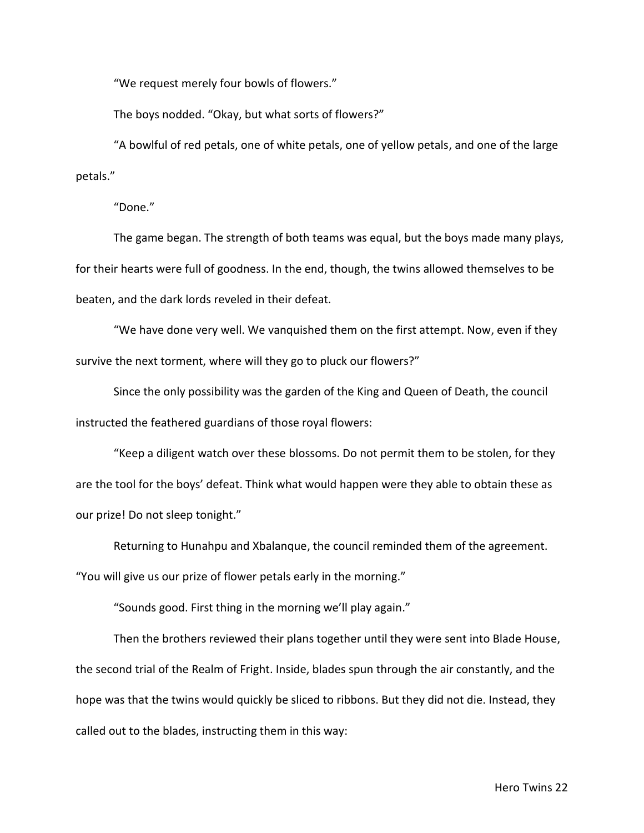"We request merely four bowls of flowers."

The boys nodded. "Okay, but what sorts of flowers?"

"A bowlful of red petals, one of white petals, one of yellow petals, and one of the large petals."

"Done."

The game began. The strength of both teams was equal, but the boys made many plays, for their hearts were full of goodness. In the end, though, the twins allowed themselves to be beaten, and the dark lords reveled in their defeat.

"We have done very well. We vanquished them on the first attempt. Now, even if they survive the next torment, where will they go to pluck our flowers?"

Since the only possibility was the garden of the King and Queen of Death, the council instructed the feathered guardians of those royal flowers:

"Keep a diligent watch over these blossoms. Do not permit them to be stolen, for they are the tool for the boys' defeat. Think what would happen were they able to obtain these as our prize! Do not sleep tonight."

Returning to Hunahpu and Xbalanque, the council reminded them of the agreement. "You will give us our prize of flower petals early in the morning."

"Sounds good. First thing in the morning we'll play again."

Then the brothers reviewed their plans together until they were sent into Blade House, the second trial of the Realm of Fright. Inside, blades spun through the air constantly, and the hope was that the twins would quickly be sliced to ribbons. But they did not die. Instead, they called out to the blades, instructing them in this way: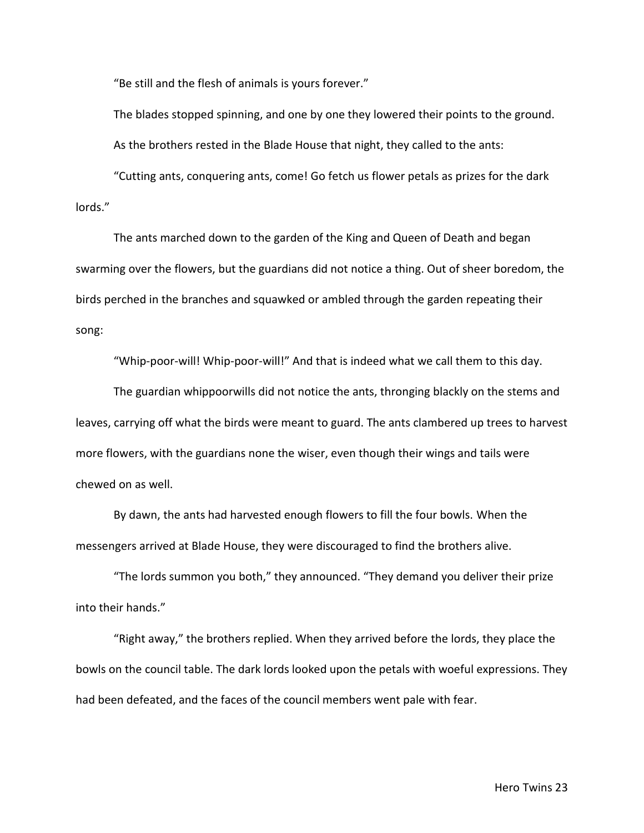"Be still and the flesh of animals is yours forever."

The blades stopped spinning, and one by one they lowered their points to the ground.

As the brothers rested in the Blade House that night, they called to the ants:

"Cutting ants, conquering ants, come! Go fetch us flower petals as prizes for the dark lords."

The ants marched down to the garden of the King and Queen of Death and began swarming over the flowers, but the guardians did not notice a thing. Out of sheer boredom, the birds perched in the branches and squawked or ambled through the garden repeating their song:

"Whip-poor-will! Whip-poor-will!" And that is indeed what we call them to this day.

The guardian whippoorwills did not notice the ants, thronging blackly on the stems and leaves, carrying off what the birds were meant to guard. The ants clambered up trees to harvest more flowers, with the guardians none the wiser, even though their wings and tails were chewed on as well.

By dawn, the ants had harvested enough flowers to fill the four bowls. When the messengers arrived at Blade House, they were discouraged to find the brothers alive.

"The lords summon you both," they announced. "They demand you deliver their prize into their hands."

"Right away," the brothers replied. When they arrived before the lords, they place the bowls on the council table. The dark lords looked upon the petals with woeful expressions. They had been defeated, and the faces of the council members went pale with fear.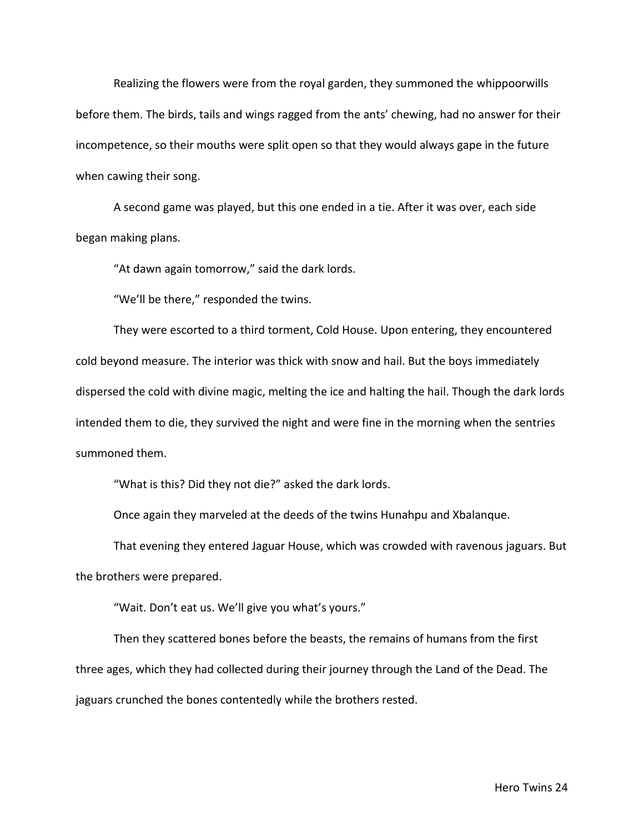Realizing the flowers were from the royal garden, they summoned the whippoorwills before them. The birds, tails and wings ragged from the ants' chewing, had no answer for their incompetence, so their mouths were split open so that they would always gape in the future when cawing their song.

A second game was played, but this one ended in a tie. After it was over, each side began making plans.

"At dawn again tomorrow," said the dark lords.

"We'll be there," responded the twins.

They were escorted to a third torment, Cold House. Upon entering, they encountered cold beyond measure. The interior was thick with snow and hail. But the boys immediately dispersed the cold with divine magic, melting the ice and halting the hail. Though the dark lords intended them to die, they survived the night and were fine in the morning when the sentries summoned them.

"What is this? Did they not die?" asked the dark lords.

Once again they marveled at the deeds of the twins Hunahpu and Xbalanque.

That evening they entered Jaguar House, which was crowded with ravenous jaguars. But the brothers were prepared.

"Wait. Don't eat us. We'll give you what's yours."

Then they scattered bones before the beasts, the remains of humans from the first three ages, which they had collected during their journey through the Land of the Dead. The jaguars crunched the bones contentedly while the brothers rested.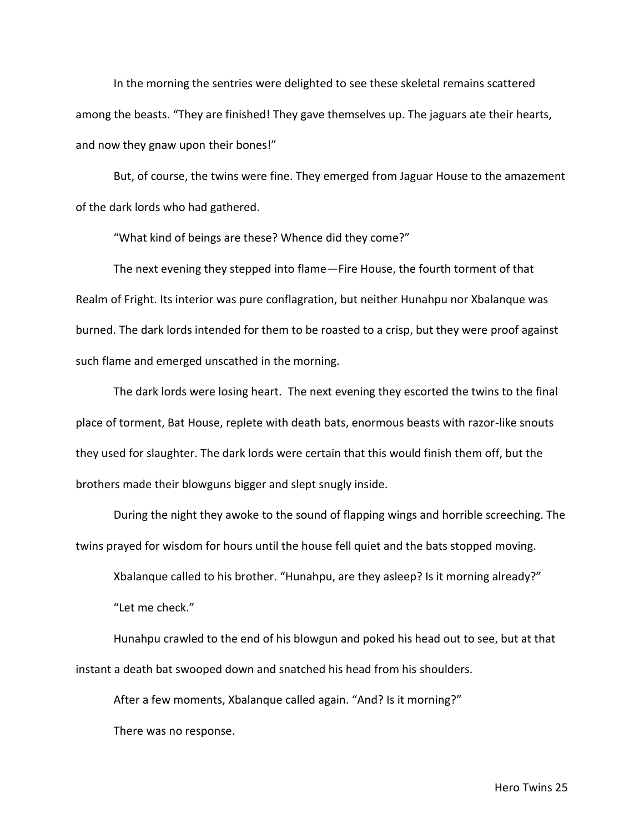In the morning the sentries were delighted to see these skeletal remains scattered among the beasts. "They are finished! They gave themselves up. The jaguars ate their hearts, and now they gnaw upon their bones!"

But, of course, the twins were fine. They emerged from Jaguar House to the amazement of the dark lords who had gathered.

"What kind of beings are these? Whence did they come?"

The next evening they stepped into flame—Fire House, the fourth torment of that Realm of Fright. Its interior was pure conflagration, but neither Hunahpu nor Xbalanque was burned. The dark lords intended for them to be roasted to a crisp, but they were proof against such flame and emerged unscathed in the morning.

The dark lords were losing heart. The next evening they escorted the twins to the final place of torment, Bat House, replete with death bats, enormous beasts with razor-like snouts they used for slaughter. The dark lords were certain that this would finish them off, but the brothers made their blowguns bigger and slept snugly inside.

During the night they awoke to the sound of flapping wings and horrible screeching. The twins prayed for wisdom for hours until the house fell quiet and the bats stopped moving.

Xbalanque called to his brother. "Hunahpu, are they asleep? Is it morning already?" "Let me check."

Hunahpu crawled to the end of his blowgun and poked his head out to see, but at that instant a death bat swooped down and snatched his head from his shoulders.

After a few moments, Xbalanque called again. "And? Is it morning?" There was no response.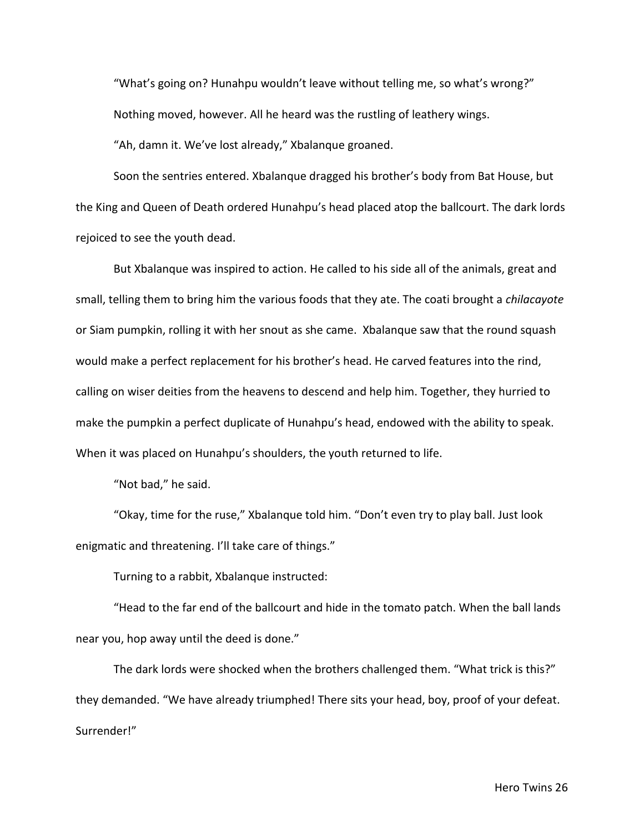"What's going on? Hunahpu wouldn't leave without telling me, so what's wrong?" Nothing moved, however. All he heard was the rustling of leathery wings.

"Ah, damn it. We've lost already," Xbalanque groaned.

Soon the sentries entered. Xbalanque dragged his brother's body from Bat House, but the King and Queen of Death ordered Hunahpu's head placed atop the ballcourt. The dark lords rejoiced to see the youth dead.

But Xbalanque was inspired to action. He called to his side all of the animals, great and small, telling them to bring him the various foods that they ate. The coati brought a *chilacayote* or Siam pumpkin, rolling it with her snout as she came. Xbalanque saw that the round squash would make a perfect replacement for his brother's head. He carved features into the rind, calling on wiser deities from the heavens to descend and help him. Together, they hurried to make the pumpkin a perfect duplicate of Hunahpu's head, endowed with the ability to speak. When it was placed on Hunahpu's shoulders, the youth returned to life.

"Not bad," he said.

"Okay, time for the ruse," Xbalanque told him. "Don't even try to play ball. Just look enigmatic and threatening. I'll take care of things."

Turning to a rabbit, Xbalanque instructed:

"Head to the far end of the ballcourt and hide in the tomato patch. When the ball lands near you, hop away until the deed is done."

The dark lords were shocked when the brothers challenged them. "What trick is this?" they demanded. "We have already triumphed! There sits your head, boy, proof of your defeat. Surrender!"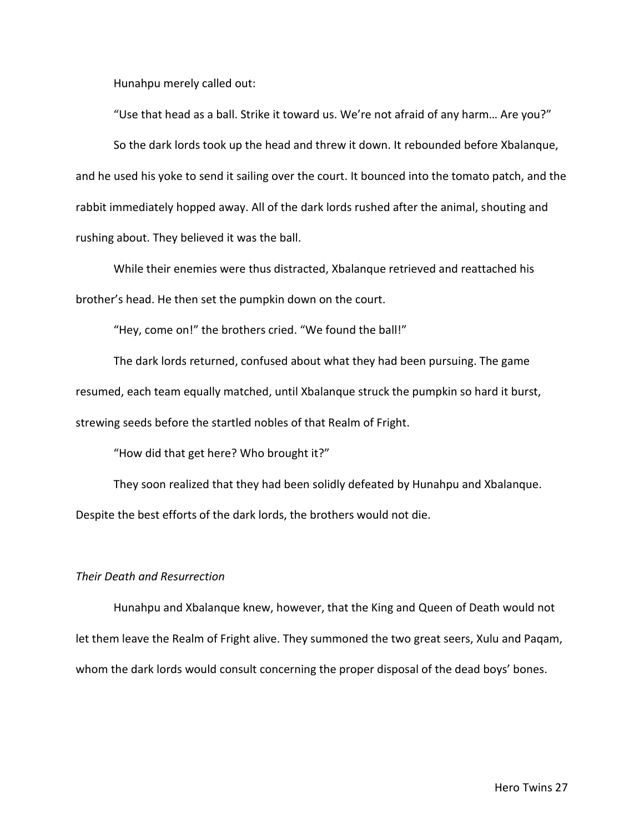Hunahpu merely called out:

"Use that head as a ball. Strike it toward us. We're not afraid of any harm… Are you?"

So the dark lords took up the head and threw it down. It rebounded before Xbalanque, and he used his yoke to send it sailing over the court. It bounced into the tomato patch, and the rabbit immediately hopped away. All of the dark lords rushed after the animal, shouting and rushing about. They believed it was the ball.

While their enemies were thus distracted, Xbalanque retrieved and reattached his brother's head. He then set the pumpkin down on the court.

"Hey, come on!" the brothers cried. "We found the ball!"

The dark lords returned, confused about what they had been pursuing. The game resumed, each team equally matched, until Xbalanque struck the pumpkin so hard it burst, strewing seeds before the startled nobles of that Realm of Fright.

"How did that get here? Who brought it?"

They soon realized that they had been solidly defeated by Hunahpu and Xbalanque. Despite the best efforts of the dark lords, the brothers would not die.

# *Their Death and Resurrection*

Hunahpu and Xbalanque knew, however, that the King and Queen of Death would not let them leave the Realm of Fright alive. They summoned the two great seers, Xulu and Paqam, whom the dark lords would consult concerning the proper disposal of the dead boys' bones.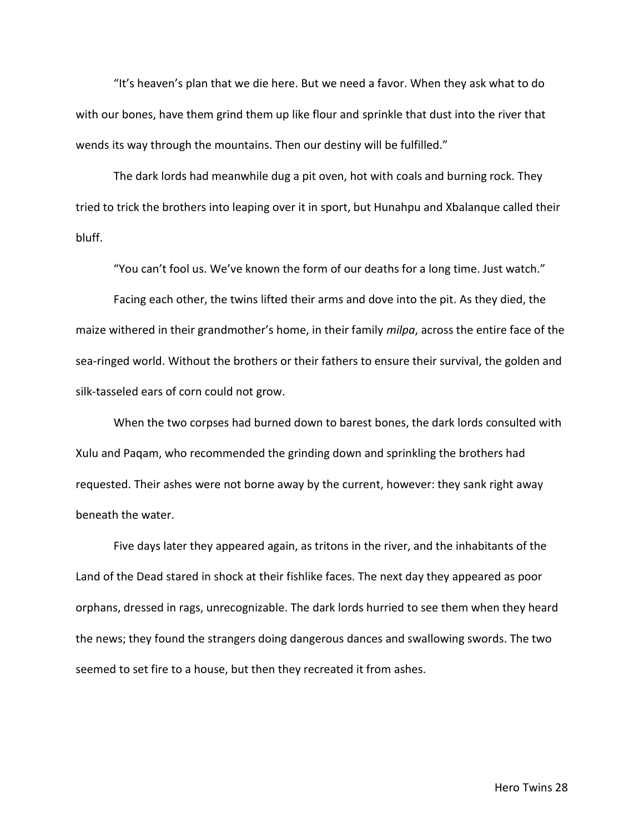"It's heaven's plan that we die here. But we need a favor. When they ask what to do with our bones, have them grind them up like flour and sprinkle that dust into the river that wends its way through the mountains. Then our destiny will be fulfilled."

The dark lords had meanwhile dug a pit oven, hot with coals and burning rock. They tried to trick the brothers into leaping over it in sport, but Hunahpu and Xbalanque called their bluff.

"You can't fool us. We've known the form of our deaths for a long time. Just watch."

Facing each other, the twins lifted their arms and dove into the pit. As they died, the maize withered in their grandmother's home, in their family *milpa*, across the entire face of the sea-ringed world. Without the brothers or their fathers to ensure their survival, the golden and silk-tasseled ears of corn could not grow.

When the two corpses had burned down to barest bones, the dark lords consulted with Xulu and Paqam, who recommended the grinding down and sprinkling the brothers had requested. Their ashes were not borne away by the current, however: they sank right away beneath the water.

Five days later they appeared again, as tritons in the river, and the inhabitants of the Land of the Dead stared in shock at their fishlike faces. The next day they appeared as poor orphans, dressed in rags, unrecognizable. The dark lords hurried to see them when they heard the news; they found the strangers doing dangerous dances and swallowing swords. The two seemed to set fire to a house, but then they recreated it from ashes.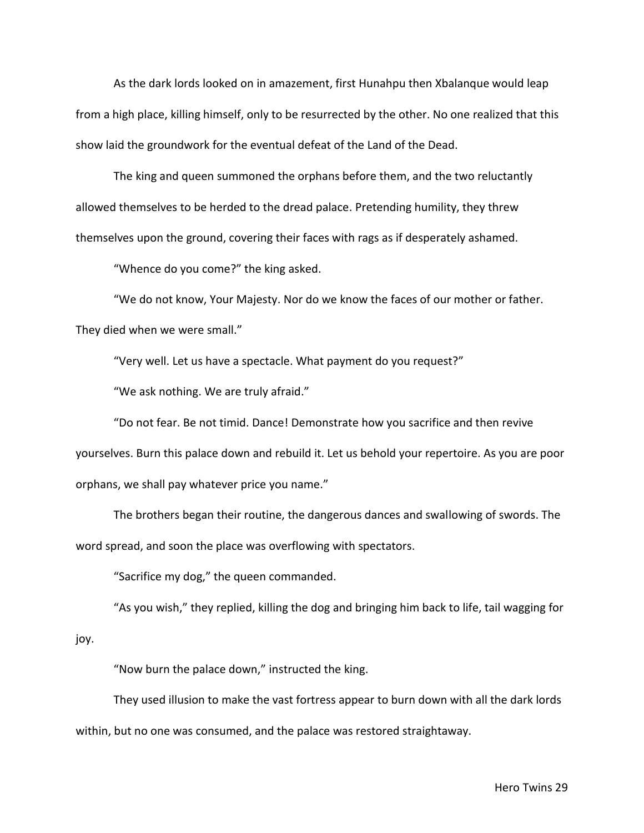As the dark lords looked on in amazement, first Hunahpu then Xbalanque would leap from a high place, killing himself, only to be resurrected by the other. No one realized that this show laid the groundwork for the eventual defeat of the Land of the Dead.

The king and queen summoned the orphans before them, and the two reluctantly allowed themselves to be herded to the dread palace. Pretending humility, they threw themselves upon the ground, covering their faces with rags as if desperately ashamed.

"Whence do you come?" the king asked.

"We do not know, Your Majesty. Nor do we know the faces of our mother or father. They died when we were small."

"Very well. Let us have a spectacle. What payment do you request?"

"We ask nothing. We are truly afraid."

"Do not fear. Be not timid. Dance! Demonstrate how you sacrifice and then revive yourselves. Burn this palace down and rebuild it. Let us behold your repertoire. As you are poor orphans, we shall pay whatever price you name."

The brothers began their routine, the dangerous dances and swallowing of swords. The word spread, and soon the place was overflowing with spectators.

"Sacrifice my dog," the queen commanded.

"As you wish," they replied, killing the dog and bringing him back to life, tail wagging for

joy.

"Now burn the palace down," instructed the king.

They used illusion to make the vast fortress appear to burn down with all the dark lords within, but no one was consumed, and the palace was restored straightaway.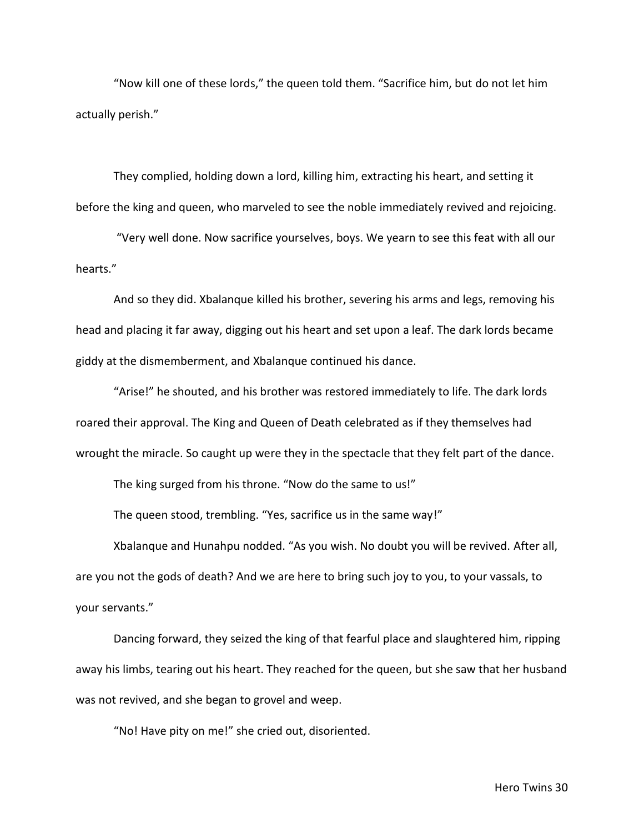"Now kill one of these lords," the queen told them. "Sacrifice him, but do not let him actually perish."

They complied, holding down a lord, killing him, extracting his heart, and setting it before the king and queen, who marveled to see the noble immediately revived and rejoicing.

"Very well done. Now sacrifice yourselves, boys. We yearn to see this feat with all our hearts."

And so they did. Xbalanque killed his brother, severing his arms and legs, removing his head and placing it far away, digging out his heart and set upon a leaf. The dark lords became giddy at the dismemberment, and Xbalanque continued his dance.

"Arise!" he shouted, and his brother was restored immediately to life. The dark lords roared their approval. The King and Queen of Death celebrated as if they themselves had wrought the miracle. So caught up were they in the spectacle that they felt part of the dance.

The king surged from his throne. "Now do the same to us!"

The queen stood, trembling. "Yes, sacrifice us in the same way!"

Xbalanque and Hunahpu nodded. "As you wish. No doubt you will be revived. After all, are you not the gods of death? And we are here to bring such joy to you, to your vassals, to your servants."

Dancing forward, they seized the king of that fearful place and slaughtered him, ripping away his limbs, tearing out his heart. They reached for the queen, but she saw that her husband was not revived, and she began to grovel and weep.

"No! Have pity on me!" she cried out, disoriented.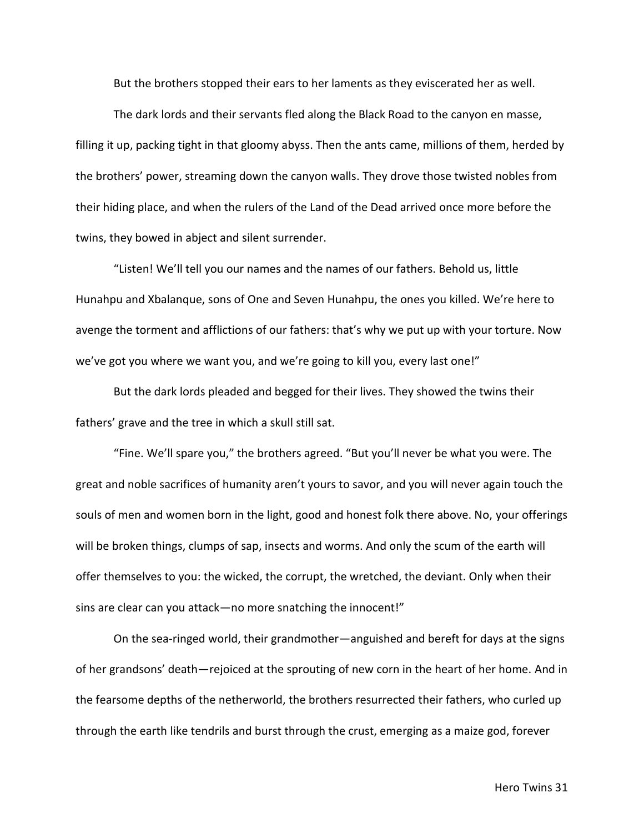But the brothers stopped their ears to her laments as they eviscerated her as well.

The dark lords and their servants fled along the Black Road to the canyon en masse, filling it up, packing tight in that gloomy abyss. Then the ants came, millions of them, herded by the brothers' power, streaming down the canyon walls. They drove those twisted nobles from their hiding place, and when the rulers of the Land of the Dead arrived once more before the twins, they bowed in abject and silent surrender.

"Listen! We'll tell you our names and the names of our fathers. Behold us, little Hunahpu and Xbalanque, sons of One and Seven Hunahpu, the ones you killed. We're here to avenge the torment and afflictions of our fathers: that's why we put up with your torture. Now we've got you where we want you, and we're going to kill you, every last one!"

But the dark lords pleaded and begged for their lives. They showed the twins their fathers' grave and the tree in which a skull still sat.

"Fine. We'll spare you," the brothers agreed. "But you'll never be what you were. The great and noble sacrifices of humanity aren't yours to savor, and you will never again touch the souls of men and women born in the light, good and honest folk there above. No, your offerings will be broken things, clumps of sap, insects and worms. And only the scum of the earth will offer themselves to you: the wicked, the corrupt, the wretched, the deviant. Only when their sins are clear can you attack—no more snatching the innocent!"

On the sea-ringed world, their grandmother—anguished and bereft for days at the signs of her grandsons' death—rejoiced at the sprouting of new corn in the heart of her home. And in the fearsome depths of the netherworld, the brothers resurrected their fathers, who curled up through the earth like tendrils and burst through the crust, emerging as a maize god, forever